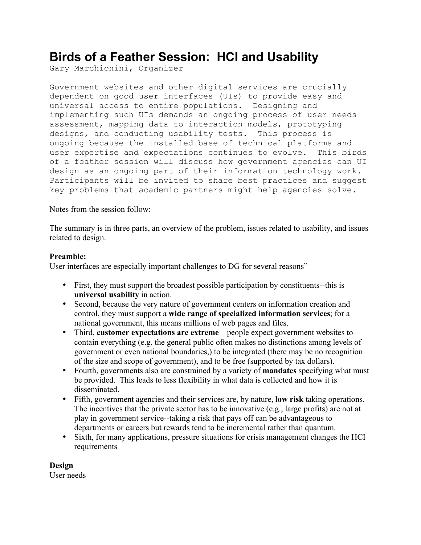# **Birds of a Feather Session: HCI and Usability**

Gary Marchionini, Organizer

Government websites and other digital services are crucially dependent on good user interfaces (UIs) to provide easy and universal access to entire populations. Designing and implementing such UIs demands an ongoing process of user needs assessment, mapping data to interaction models, prototyping designs, and conducting usability tests. This process is ongoing because the installed base of technical platforms and user expertise and expectations continues to evolve. This birds of a feather session will discuss how government agencies can UI design as an ongoing part of their information technology work. Participants will be invited to share best practices and suggest key problems that academic partners might help agencies solve.

Notes from the session follow:

The summary is in three parts, an overview of the problem, issues related to usability, and issues related to design.

#### **Preamble:**

User interfaces are especially important challenges to DG for several reasons"

- First, they must support the broadest possible participation by constituents--this is **universal usability** in action.
- Second, because the very nature of government centers on information creation and control, they must support a **wide range of specialized information services**; for a national government, this means millions of web pages and files.
- Third, **customer expectations are extreme**—people expect government websites to contain everything (e.g. the general public often makes no distinctions among levels of government or even national boundaries,) to be integrated (there may be no recognition of the size and scope of government), and to be free (supported by tax dollars).
- Fourth, governments also are constrained by a variety of **mandates** specifying what must be provided. This leads to less flexibility in what data is collected and how it is disseminated.
- Fifth, government agencies and their services are, by nature, **low risk** taking operations. The incentives that the private sector has to be innovative (e.g., large profits) are not at play in government service--taking a risk that pays off can be advantageous to departments or careers but rewards tend to be incremental rather than quantum.
- Sixth, for many applications, pressure situations for crisis management changes the HCI requirements

### **Design**

User needs